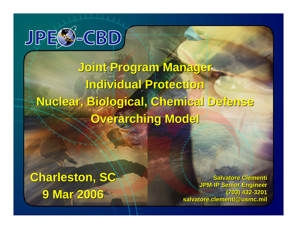

# **Joint Program Manager Joint Program Manager Individual Protection Individual Protection Nuclear, Biological, Chemical Defense Nuclear, Biological, Chemical Defense Overarching Model Overarching Model**

# **Charleston, SC Charleston, SC 9 Mar 2006 9 Mar 2006**

**Salvatore Clementi Salvatore Clementi JPM-IP Senior Engineer JPM-IP Senior Engineer (703) 432-3201 (703) 432-3201 salvatore.clementi@usmc.mil salvatore.clementi@usmc.mil**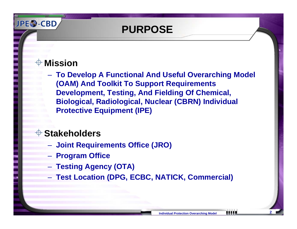### **PURPOSE**

#### **Mission**

**JPES-CBD** 

 **To Develop A Functional And Useful Overarching Model (OAM) And Toolkit To Support Requirements Development, Testing, And Fielding Of Chemical, Biological, Radiological, Nuclear (CBRN) Individual Protective Equipment (IPE)**

#### **Stakeholders**

- **Joint Requirements Office (JRO)**
- **Program Office**
- **Testing Agency (OTA)**
- **Test Location (DPG, ECBC, NATICK, Commercial)**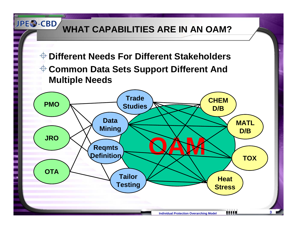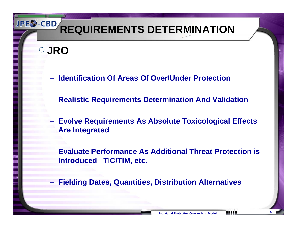**JRO**

- **Identification Of Areas Of Over/Under Protection**
- **Realistic Requirements Determination And Validation**
- **Evolve Requirements As Absolute Toxicological Effects Are Integrated**
- **Evaluate Performance As Additional Threat Protection is Introduced TIC/TIM, etc.**
- **Fielding Dates, Quantities, Distribution Alternatives**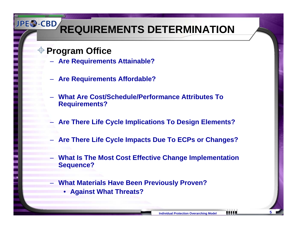#### **Program Office**

- **Are Requirements Attainable?**
- **Are Requirements Affordable?**
- **What Are Cost/Schedule/Performance Attributes To Requirements?**
- **Law Administration Are There Life Cycle Implications To Design Elements?**
- **Are There Life Cycle Impacts Due To ECPs or Changes?**
- **What Is The Most Cost Effective Change Implementation Sequence?**
- **What Materials Have Been Previously Proven?** 
	- **Against What Threats?**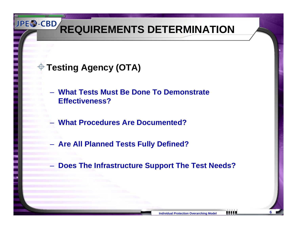### **Testing Agency (OTA)**

- **What Tests Must Be Done To Demonstrate Effectiveness?**
- **What Procedures Are Documented?**
- **Are All Planned Tests Fully Defined?**
- –**Does The Infrastructure Support The Test Needs?**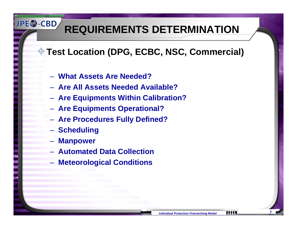### **Test Location (DPG, ECBC, NSC, Commercial)**

- **What Assets Are Needed?**
- **Are All Assets Needed Available?**
- **Are Equipments Within Calibration?**
- **Are Equipments Operational?**
- **Are Procedures Fully Defined?**
- **Scheduling**

- **Manpower**
- **Automated Data Collection**
- **Meteorological Conditions**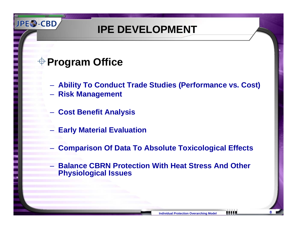### **IPE DEVELOPMENT**

### **Program Office**

- **Ability To Conduct Trade Studies (Performance vs. Cost)**
- **Risk Management**
- **Cost Benefit Analysis**
- **Early Material Evaluation**
- **Comparison Of Data To Absolute Toxicological Effects**
- **Balance CBRN Protection With Heat Stress And Other Physiological Issues**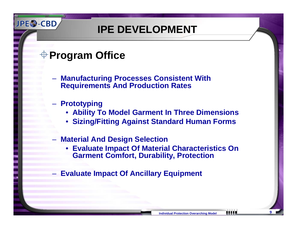### **IPE DEVELOPMENT**

### **Program Office**

- **Manufacturing Processes Consistent With Requirements And Production Rates**
- **Prototyping**
	- **Ability To Model Garment In Three Dimensions**
	- **Sizing/Fitting Against Standard Human Forms**
- **Material And Design Selection**
	- **Evaluate Impact Of Material Characteristics On Garment Comfort, Durability, Protection**
- **Evaluate Impact Of Ancillary Equipment**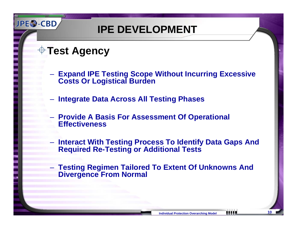**IPE DEVELOPMENT**

**Test Agency**

- **Expand IPE Testing Scope Without Incurring Excessive Costs Or Logistical Burden**
- **Integrate Data Across All Testing Phases**
- **Provide A Basis For Assessment Of Operational Effectiveness**
- **Hart Committee Interact With Testing Process To Identify Data Gaps And Required Re-Testing or Additional Tests**
- **Testing Regimen Tailored To Extent Of Unknowns And Divergence From Normal**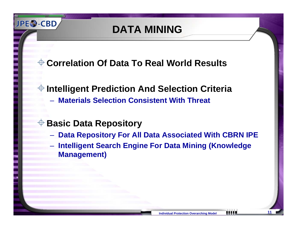### **DATA MINING**

**Correlation Of Data To Real World Results**

### **Intelligent Prediction And Selection Criteria**

**Materials Selection Consistent With Threat**

#### **Basic Data Repository**

- **Data Repository For All Data Associated With CBRN IPE**
- **Intelligent Search Engine For Data Mining (Knowledge Management)**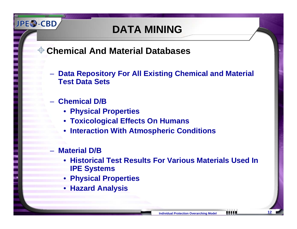### **DATA MINING**

- **Chemical And Material Databases**
	- **Data Repository For All Existing Chemical and Material Test Data Sets**
		- **Chemical D/B**

**JPES-CBD** 

- **Physical Properties**
- **Toxicological Effects On Humans**
- •**Interaction With Atmospheric Conditions**

#### **Material D/B**

- **Historical Test Results For Various Materials Used InIPE Systems**
- •**Physical Properties**
- **Hazard Analysis**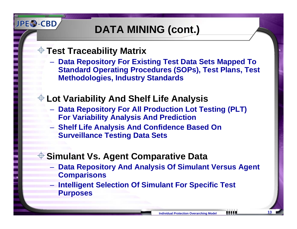## **DATA MINING (cont.)**

#### **Test Traceability Matrix**

**JPES-CBD** 

 **Data Repository For Existing Test Data Sets Mapped To Standard Operating Procedures (SOPs), Test Plans, Test Methodologies, Industry Standards**

### **Lot Variability And Shelf Life Analysis**

- **Data Repository For All Production Lot Testing (PLT) For Variability Analysis And Prediction**
- **Shelf Life Analysis And Confidence Based On Surveillance Testing Data Sets**

#### **Simulant Vs. Agent Comparative Data**

- **Data Repository And Analysis Of Simulant Versus Agent Comparisons**
- **Intelligent Selection Of Simulant For Specific Test Purposes**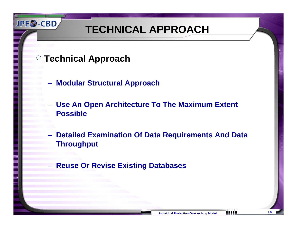### **TECHNICAL APPROACH**

**Technical Approach** 

- **Modular Structural Approach**
- **Use An Open Architecture To The Maximum Extent Possible**
- **Detailed Examination Of Data Requirements And Data Throughput**
- –**Reuse Or Revise Existing Databases**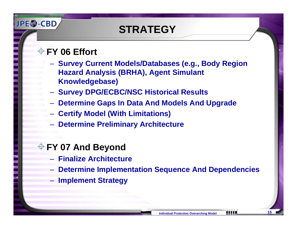## **STRATEGY**

#### **FY 06 Effort**

**JPES-CBD** 

- **Survey Current Models/Databases (e.g., Body Region Hazard Analysis (BRHA), Agent Simulant Knowledgebase)**
- **Survey DPG/ECBC/NSC Historical Results**
- **Determine Gaps In Data And Models And Upgrade**
- **Certify Model (With Limitations)**
- **Determine Preliminary Architecture**

#### **FY 07 And Beyond**

- **Finalize Architecture**
- **Hart Committee Determine Implementation Sequence And Dependencies**
- **Implement Strategy**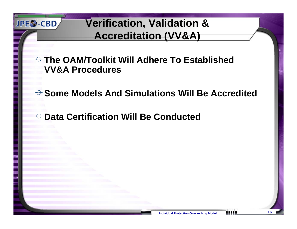### **Verification, Validation & Accreditation (VV&A)**

**The OAM/Toolkit Will Adhere To Established VV&A Procedures**

**Some Models And Simulations Will Be Accredited**

**Data Certification Will Be Conducted**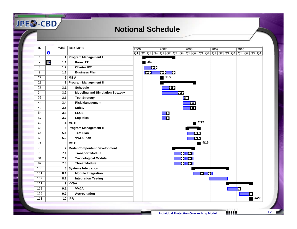#### **Notional Schedule**

| ID             |   | <b>WBS</b>     | Task Name                               | 2006 |           |          | 2007                                    |          |          | 2008     |                                                                                                                      | 2009 |  | 2010 |      |
|----------------|---|----------------|-----------------------------------------|------|-----------|----------|-----------------------------------------|----------|----------|----------|----------------------------------------------------------------------------------------------------------------------|------|--|------|------|
|                | O |                |                                         |      |           |          | $Q1$ $Q2$ $Q3$ $Q4$ $Q1$ $Q2$ $Q3$ $Q4$ |          |          |          | $\boxed{ \  Q1 \  \  Q2 \  \  Q3 \  \  Q4 \  \  Q1 \  \  Q2 \  \  Q3 \  \  Q4 \  \  Q1 \  \  Q2 \  \  Q3 \  \  Q4 }$ |      |  |      |      |
| 1              |   | 1              | <b>Program Management I</b>             |      |           |          |                                         |          |          |          |                                                                                                                      |      |  |      |      |
| $\overline{2}$ | Ŧ | $1.1$          | Form IPT                                |      | 3/1<br>b. |          |                                         |          |          |          |                                                                                                                      |      |  |      |      |
| 3              |   | $1.2$          | <b>Charter IPT</b>                      |      |           | $\infty$ |                                         |          |          |          |                                                                                                                      |      |  |      |      |
| 9              |   | $1.3$          | <b>Business Plan</b>                    |      | KO        |          | 00                                      | ۰        |          |          |                                                                                                                      |      |  |      |      |
| 27             |   |                | $2$ MS A                                |      |           |          | ◎ 11/7                                  |          |          |          |                                                                                                                      |      |  |      |      |
| 28             |   | 3              | <b>Program Management II</b>            |      |           |          |                                         |          |          |          |                                                                                                                      |      |  |      |      |
| 29             |   | 3.1            | <b>Schedule</b>                         |      |           |          |                                         | $\infty$ |          |          |                                                                                                                      |      |  |      |      |
| 34             |   | 3.2            | <b>Modeling and Simulation Strategy</b> |      |           |          |                                         |          | $\infty$ |          |                                                                                                                      |      |  |      |      |
| 39             |   | 3.3            | <b>Test Strategy</b>                    |      |           |          |                                         |          |          | KO       |                                                                                                                      |      |  |      |      |
| 44             |   | 3.4            | <b>Risk Management</b>                  |      |           |          |                                         |          |          | Ю¢       |                                                                                                                      |      |  |      |      |
| 49             |   | 3.5            | <b>Safety</b>                           |      |           |          |                                         |          |          | $\infty$ |                                                                                                                      |      |  |      |      |
| 54             |   | 3.6            | <b>LCCE</b>                             |      |           |          | D                                       |          |          |          |                                                                                                                      |      |  |      |      |
| 57             |   | 3.7            | Logistics                               |      |           |          | Ю                                       |          |          |          |                                                                                                                      |      |  |      |      |
| 62             |   |                | $4$ MS B                                |      |           |          |                                         |          |          |          | 2/12                                                                                                                 |      |  |      |      |
| 63             |   | 5              | <b>Program Management III</b>           |      |           |          |                                         |          |          |          |                                                                                                                      |      |  |      |      |
| 64             |   | 5.1            | <b>Test Plan</b>                        |      |           |          |                                         |          |          |          |                                                                                                                      |      |  |      |      |
| 69             |   | 5.2            | <b>VV&amp;A Plan</b>                    |      |           |          |                                         |          |          |          | $\bullet\bullet$                                                                                                     |      |  |      |      |
| 74             |   |                | $6$ MS $C$                              |      |           |          |                                         |          |          |          | 4/15                                                                                                                 |      |  |      |      |
| 75             |   | $\overline{7}$ | <b>Model Compontent Development</b>     |      |           |          |                                         |          |          |          |                                                                                                                      |      |  |      |      |
| 76             |   | 7.1            | <b>Transport Module</b>                 |      |           |          |                                         |          |          |          |                                                                                                                      |      |  |      |      |
| 84             |   | 7.2            | <b>Toxicological Module</b>             |      |           |          |                                         |          |          |          |                                                                                                                      |      |  |      |      |
| 92             |   | 7.3            | <b>Threat Module</b>                    |      |           |          |                                         |          |          |          |                                                                                                                      |      |  |      |      |
| 100            |   | 8              | <b>Systems Integration</b>              |      |           |          |                                         |          |          |          |                                                                                                                      |      |  |      |      |
| 101            |   | 8.1            | <b>Module Integration</b>               |      |           |          |                                         |          |          |          | $\bullet$ $\bullet$                                                                                                  |      |  |      |      |
| 109            |   | 8.2            | <b>Integration Testing</b>              |      |           |          |                                         |          |          |          |                                                                                                                      |      |  |      |      |
| 111            |   |                | 9 VV&A                                  |      |           |          |                                         |          |          |          |                                                                                                                      |      |  |      |      |
| 112            |   | 9.1            | VV&A                                    |      |           |          |                                         |          |          |          |                                                                                                                      |      |  |      |      |
| 115            |   | 9.2            | <b>Accreditation</b>                    |      |           |          |                                         |          |          |          |                                                                                                                      |      |  |      |      |
| 118            |   |                | $10$ IPR                                |      |           |          |                                         |          |          |          |                                                                                                                      |      |  |      | 4/20 |